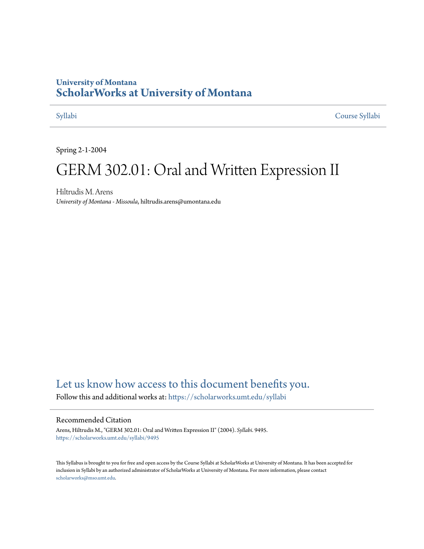## **University of Montana [ScholarWorks at University of Montana](https://scholarworks.umt.edu?utm_source=scholarworks.umt.edu%2Fsyllabi%2F9495&utm_medium=PDF&utm_campaign=PDFCoverPages)**

[Syllabi](https://scholarworks.umt.edu/syllabi?utm_source=scholarworks.umt.edu%2Fsyllabi%2F9495&utm_medium=PDF&utm_campaign=PDFCoverPages) [Course Syllabi](https://scholarworks.umt.edu/course_syllabi?utm_source=scholarworks.umt.edu%2Fsyllabi%2F9495&utm_medium=PDF&utm_campaign=PDFCoverPages)

Spring 2-1-2004

# GERM 302.01: Oral and Written Expression II

Hiltrudis M. Arens *University of Montana - Missoula*, hiltrudis.arens@umontana.edu

# [Let us know how access to this document benefits you.](https://goo.gl/forms/s2rGfXOLzz71qgsB2)

Follow this and additional works at: [https://scholarworks.umt.edu/syllabi](https://scholarworks.umt.edu/syllabi?utm_source=scholarworks.umt.edu%2Fsyllabi%2F9495&utm_medium=PDF&utm_campaign=PDFCoverPages)

#### Recommended Citation

Arens, Hiltrudis M., "GERM 302.01: Oral and Written Expression II" (2004). *Syllabi*. 9495. [https://scholarworks.umt.edu/syllabi/9495](https://scholarworks.umt.edu/syllabi/9495?utm_source=scholarworks.umt.edu%2Fsyllabi%2F9495&utm_medium=PDF&utm_campaign=PDFCoverPages)

This Syllabus is brought to you for free and open access by the Course Syllabi at ScholarWorks at University of Montana. It has been accepted for inclusion in Syllabi by an authorized administrator of ScholarWorks at University of Montana. For more information, please contact [scholarworks@mso.umt.edu](mailto:scholarworks@mso.umt.edu).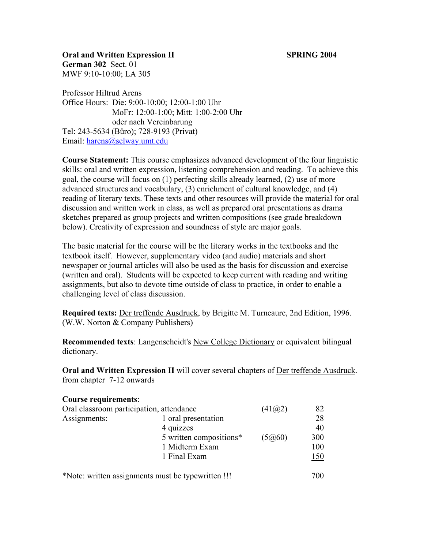**Oral and Written Expression II SPRING 2004 German 302** Sect. 01 MWF 9:10-10:00; LA 305

Professor Hiltrud Arens Office Hours: Die: 9:00-10:00; 12:00-1:00 Uhr MoFr: 12:00-1:00; Mitt: 1:00-2:00 Uhr oder nach Vereinbarung Tel: 243-5634 (Büro); 728-9193 (Privat) Email: [harens@selway.umt.edu](mailto:harens@selway.umt.edu) 

**Course Statement:** This course emphasizes advanced development of the four linguistic skills: oral and written expression, listening comprehension and reading. To achieve this goal, the course will focus on (1) perfecting skills already learned, (2) use of more advanced structures and vocabulary, (3) enrichment of cultural knowledge, and (4) reading of literary texts. These texts and other resources will provide the material for oral discussion and written work in class, as well as prepared oral presentations as drama sketches prepared as group projects and written compositions (see grade breakdown below). Creativity of expression and soundness of style are major goals.

The basic material for the course will be the literary works in the textbooks and the textbook itself. However, supplementary video (and audio) materials and short newspaper or journal articles will also be used as the basis for discussion and exercise (written and oral). Students will be expected to keep current with reading and writing assignments, but also to devote time outside of class to practice, in order to enable a challenging level of class discussion.

**Required texts:** Der treffende Ausdruck, by Brigitte M. Turneaure, 2nd Edition, 1996. (W.W. Norton & Company Publishers)

**Recommended texts**: Langenscheidt's New College Dictionary or equivalent bilingual dictionary.

**Oral and Written Expression II** will cover several chapters of Der treffende Ausdruck. from chapter 7-12 onwards

### **Course requirements**:

| Oral classroom participation, attendance |                         | (41@2) | 82  |
|------------------------------------------|-------------------------|--------|-----|
| Assignments:                             | 1 oral presentation     |        | 28  |
|                                          | 4 quizzes               |        | 40  |
|                                          | 5 written compositions* | (5@60) | 300 |
|                                          | 1 Midterm Exam          |        | 100 |
|                                          | 1 Final Exam            |        | 150 |
|                                          |                         |        |     |

\*Note: written assignments must be typewritten !!! 700